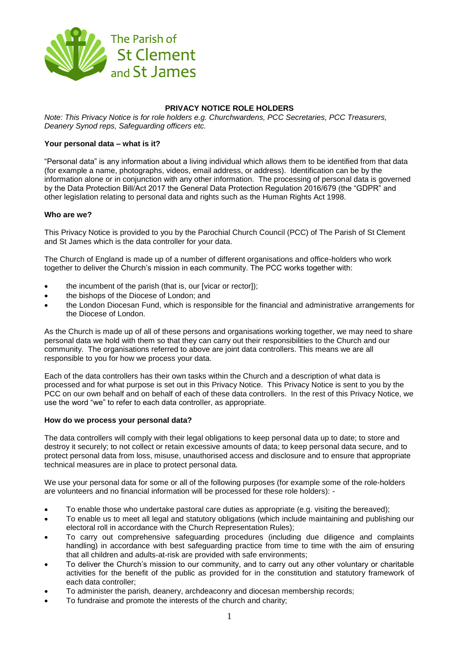

# **PRIVACY NOTICE ROLE HOLDERS**

*Note: This Privacy Notice is for role holders e.g. Churchwardens, PCC Secretaries, PCC Treasurers, Deanery Synod reps, Safeguarding officers etc.*

### **Your personal data – what is it?**

"Personal data" is any information about a living individual which allows them to be identified from that data (for example a name, photographs, videos, email address, or address). Identification can be by the information alone or in conjunction with any other information. The processing of personal data is governed by the Data Protection Bill/Act 2017 the General Data Protection Regulation 2016/679 (the "GDPR" and other legislation relating to personal data and rights such as the Human Rights Act 1998.

#### **Who are we?**

This Privacy Notice is provided to you by the Parochial Church Council (PCC) of The Parish of St Clement and St James which is the data controller for your data.

The Church of England is made up of a number of different organisations and office-holders who work together to deliver the Church's mission in each community. The PCC works together with:

- the incumbent of the parish (that is, our [vicar or rector]);
- the bishops of the Diocese of London; and
- the London Diocesan Fund, which is responsible for the financial and administrative arrangements for the Diocese of London.

As the Church is made up of all of these persons and organisations working together, we may need to share personal data we hold with them so that they can carry out their responsibilities to the Church and our community. The organisations referred to above are joint data controllers. This means we are all responsible to you for how we process your data.

Each of the data controllers has their own tasks within the Church and a description of what data is processed and for what purpose is set out in this Privacy Notice. This Privacy Notice is sent to you by the PCC on our own behalf and on behalf of each of these data controllers. In the rest of this Privacy Notice, we use the word "we" to refer to each data controller, as appropriate.

#### **How do we process your personal data?**

The data controllers will comply with their legal obligations to keep personal data up to date; to store and destroy it securely; to not collect or retain excessive amounts of data; to keep personal data secure, and to protect personal data from loss, misuse, unauthorised access and disclosure and to ensure that appropriate technical measures are in place to protect personal data.

We use your personal data for some or all of the following purposes (for example some of the role-holders are volunteers and no financial information will be processed for these role holders): -

- To enable those who undertake pastoral care duties as appropriate (e.g. visiting the bereaved);
- To enable us to meet all legal and statutory obligations (which include maintaining and publishing our electoral roll in accordance with the Church Representation Rules);
- To carry out comprehensive safeguarding procedures (including due diligence and complaints handling) in accordance with best safeguarding practice from time to time with the aim of ensuring that all children and adults-at-risk are provided with safe environments;
- To deliver the Church's mission to our community, and to carry out any other voluntary or charitable activities for the benefit of the public as provided for in the constitution and statutory framework of each data controller;
- To administer the parish, deanery, archdeaconry and diocesan membership records;
- To fundraise and promote the interests of the church and charity;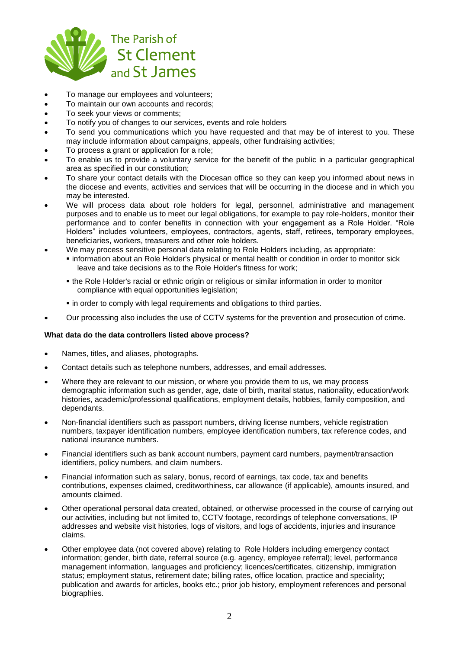

- To manage our employees and volunteers;
- To maintain our own accounts and records;
- To seek your views or comments;
- To notify you of changes to our services, events and role holders
- To send you communications which you have requested and that may be of interest to you. These may include information about campaigns, appeals, other fundraising activities;
- To process a grant or application for a role;
- To enable us to provide a voluntary service for the benefit of the public in a particular geographical area as specified in our constitution;
- To share your contact details with the Diocesan office so they can keep you informed about news in the diocese and events, activities and services that will be occurring in the diocese and in which you may be interested.
- We will process data about role holders for legal, personnel, administrative and management purposes and to enable us to meet our legal obligations, for example to pay role-holders, monitor their performance and to confer benefits in connection with your engagement as a Role Holder. "Role Holders" includes volunteers, employees, contractors, agents, staff, retirees, temporary employees, beneficiaries, workers, treasurers and other role holders.
- We may process sensitive personal data relating to Role Holders including, as appropriate:
	- information about an Role Holder's physical or mental health or condition in order to monitor sick leave and take decisions as to the Role Holder's fitness for work;
	- the Role Holder's racial or ethnic origin or religious or similar information in order to monitor compliance with equal opportunities legislation;
	- **in order to comply with legal requirements and obligations to third parties.**
- Our processing also includes the use of CCTV systems for the prevention and prosecution of crime.

# **What data do the data controllers listed above process?**

- Names, titles, and aliases, photographs.
- Contact details such as telephone numbers, addresses, and email addresses.
- Where they are relevant to our mission, or where you provide them to us, we may process demographic information such as gender, age, date of birth, marital status, nationality, education/work histories, academic/professional qualifications, employment details, hobbies, family composition, and dependants.
- Non-financial identifiers such as passport numbers, driving license numbers, vehicle registration numbers, taxpayer identification numbers, employee identification numbers, tax reference codes, and national insurance numbers.
- Financial identifiers such as bank account numbers, payment card numbers, payment/transaction identifiers, policy numbers, and claim numbers.
- Financial information such as salary, bonus, record of earnings, tax code, tax and benefits contributions, expenses claimed, creditworthiness, car allowance (if applicable), amounts insured, and amounts claimed.
- Other operational personal data created, obtained, or otherwise processed in the course of carrying out our activities, including but not limited to, CCTV footage, recordings of telephone conversations, IP addresses and website visit histories, logs of visitors, and logs of accidents, injuries and insurance claims.
- Other employee data (not covered above) relating to Role Holders including emergency contact information; gender, birth date, referral source (e.g. agency, employee referral); level, performance management information, languages and proficiency; licences/certificates, citizenship, immigration status; employment status, retirement date; billing rates, office location, practice and speciality; publication and awards for articles, books etc.; prior job history, employment references and personal biographies.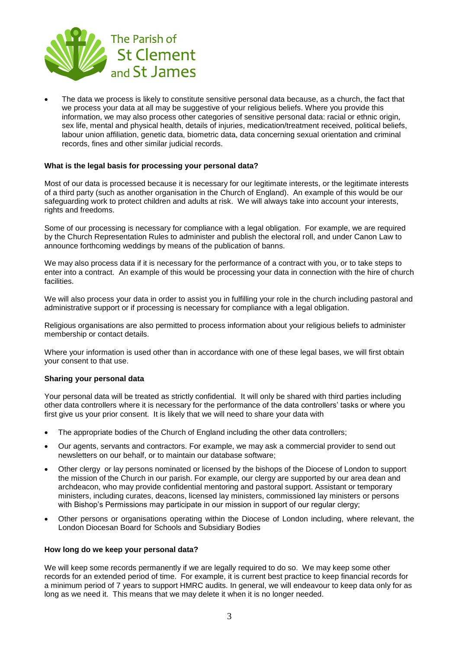

 The data we process is likely to constitute sensitive personal data because, as a church, the fact that we process your data at all may be suggestive of your religious beliefs. Where you provide this information, we may also process other categories of sensitive personal data: racial or ethnic origin, sex life, mental and physical health, details of injuries, medication/treatment received, political beliefs, labour union affiliation, genetic data, biometric data, data concerning sexual orientation and criminal records, fines and other similar judicial records.

### **What is the legal basis for processing your personal data?**

Most of our data is processed because it is necessary for our legitimate interests, or the legitimate interests of a third party (such as another organisation in the Church of England). An example of this would be our safeguarding work to protect children and adults at risk. We will always take into account your interests, rights and freedoms.

Some of our processing is necessary for compliance with a legal obligation. For example, we are required by the Church Representation Rules to administer and publish the electoral roll, and under Canon Law to announce forthcoming weddings by means of the publication of banns.

We may also process data if it is necessary for the performance of a contract with you, or to take steps to enter into a contract. An example of this would be processing your data in connection with the hire of church facilities.

We will also process your data in order to assist you in fulfilling your role in the church including pastoral and administrative support or if processing is necessary for compliance with a legal obligation.

Religious organisations are also permitted to process information about your religious beliefs to administer membership or contact details.

Where your information is used other than in accordance with one of these legal bases, we will first obtain your consent to that use.

#### **Sharing your personal data**

Your personal data will be treated as strictly confidential. It will only be shared with third parties including other data controllers where it is necessary for the performance of the data controllers' tasks or where you first give us your prior consent. It is likely that we will need to share your data with

- The appropriate bodies of the Church of England including the other data controllers;
- Our agents, servants and contractors. For example, we may ask a commercial provider to send out newsletters on our behalf, or to maintain our database software;
- Other clergy or lay persons nominated or licensed by the bishops of the Diocese of London to support the mission of the Church in our parish. For example, our clergy are supported by our area dean and archdeacon, who may provide confidential mentoring and pastoral support. Assistant or temporary ministers, including curates, deacons, licensed lay ministers, commissioned lay ministers or persons with Bishop's Permissions may participate in our mission in support of our regular clergy;
- Other persons or organisations operating within the Diocese of London including, where relevant, the London Diocesan Board for Schools and Subsidiary Bodies

#### **How long do we keep your personal data?**

We will keep some records permanently if we are legally required to do so. We may keep some other records for an extended period of time. For example, it is current best practice to keep financial records for a minimum period of 7 years to support HMRC audits. In general, we will endeavour to keep data only for as long as we need it. This means that we may delete it when it is no longer needed.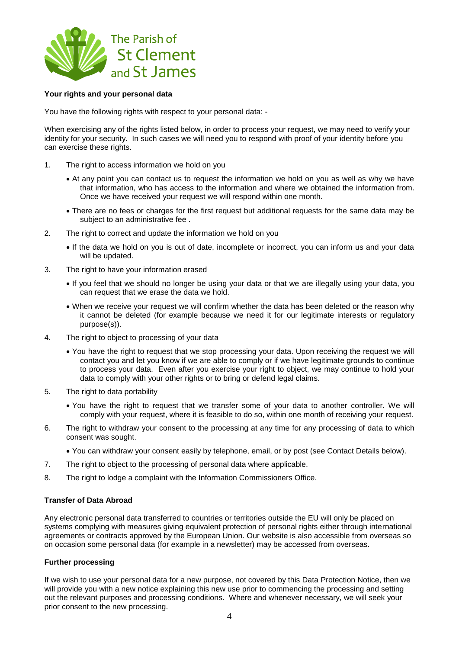

### **Your rights and your personal data**

You have the following rights with respect to your personal data: -

When exercising any of the rights listed below, in order to process your request, we may need to verify your identity for your security. In such cases we will need you to respond with proof of your identity before you can exercise these rights.

- 1. The right to access information we hold on you
	- At any point you can contact us to request the information we hold on you as well as why we have that information, who has access to the information and where we obtained the information from. Once we have received your request we will respond within one month.
	- There are no fees or charges for the first request but additional requests for the same data may be subject to an administrative fee .
- 2. The right to correct and update the information we hold on you
	- If the data we hold on you is out of date, incomplete or incorrect, you can inform us and your data will be updated.
- 3. The right to have your information erased
	- If you feel that we should no longer be using your data or that we are illegally using your data, you can request that we erase the data we hold.
	- When we receive your request we will confirm whether the data has been deleted or the reason why it cannot be deleted (for example because we need it for our legitimate interests or regulatory purpose(s)).
- 4. The right to object to processing of your data
	- You have the right to request that we stop processing your data. Upon receiving the request we will contact you and let you know if we are able to comply or if we have legitimate grounds to continue to process your data. Even after you exercise your right to object, we may continue to hold your data to comply with your other rights or to bring or defend legal claims.
- 5. The right to data portability
	- You have the right to request that we transfer some of your data to another controller. We will comply with your request, where it is feasible to do so, within one month of receiving your request.
- 6. The right to withdraw your consent to the processing at any time for any processing of data to which consent was sought.
	- You can withdraw your consent easily by telephone, email, or by post (see Contact Details below).
- 7. The right to object to the processing of personal data where applicable.
- 8. The right to lodge a complaint with the Information Commissioners Office.

# **Transfer of Data Abroad**

Any electronic personal data transferred to countries or territories outside the EU will only be placed on systems complying with measures giving equivalent protection of personal rights either through international agreements or contracts approved by the European Union. Our website is also accessible from overseas so on occasion some personal data (for example in a newsletter) may be accessed from overseas.

# **Further processing**

If we wish to use your personal data for a new purpose, not covered by this Data Protection Notice, then we will provide you with a new notice explaining this new use prior to commencing the processing and setting out the relevant purposes and processing conditions. Where and whenever necessary, we will seek your prior consent to the new processing.